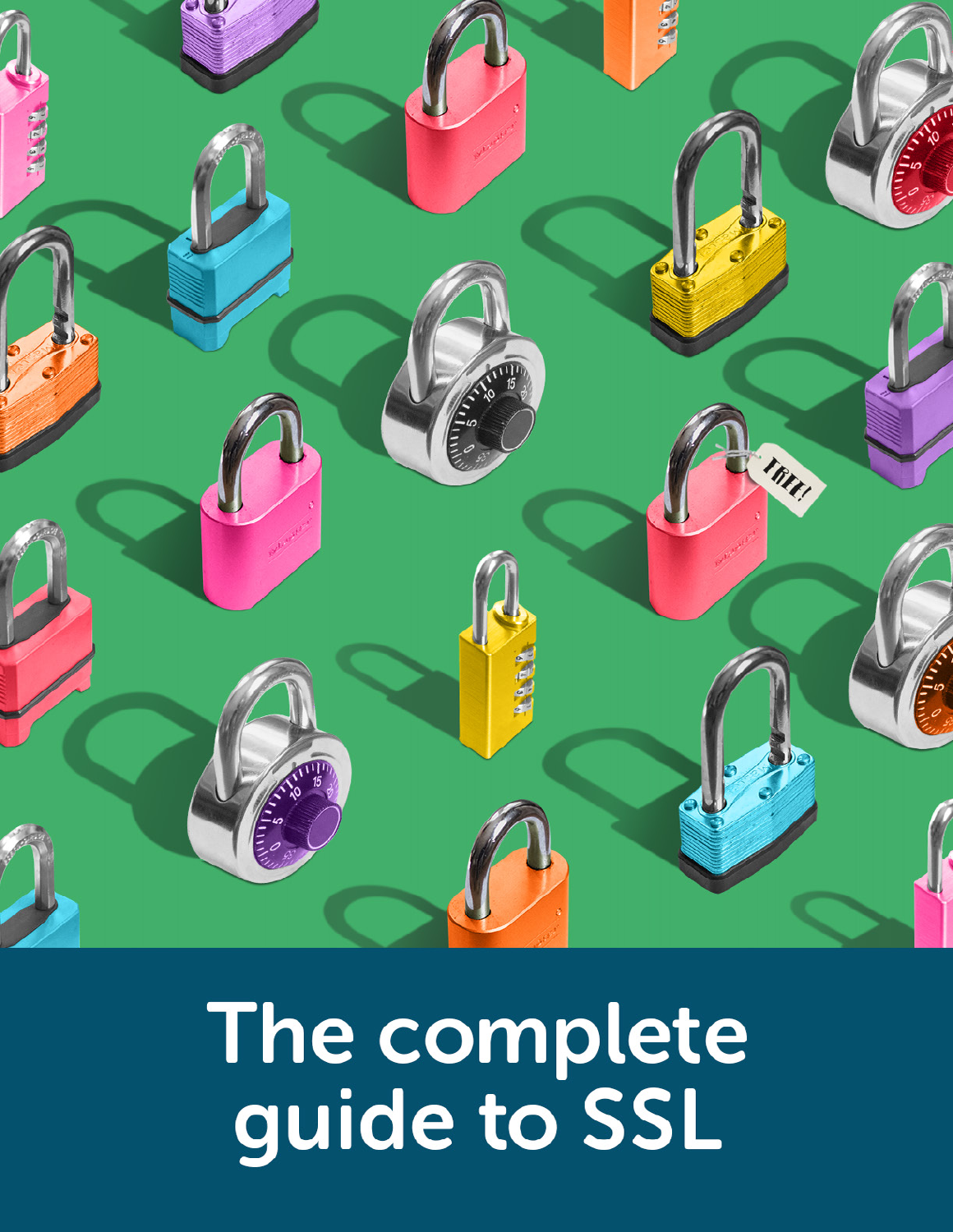# The complete<br>guide to SSL

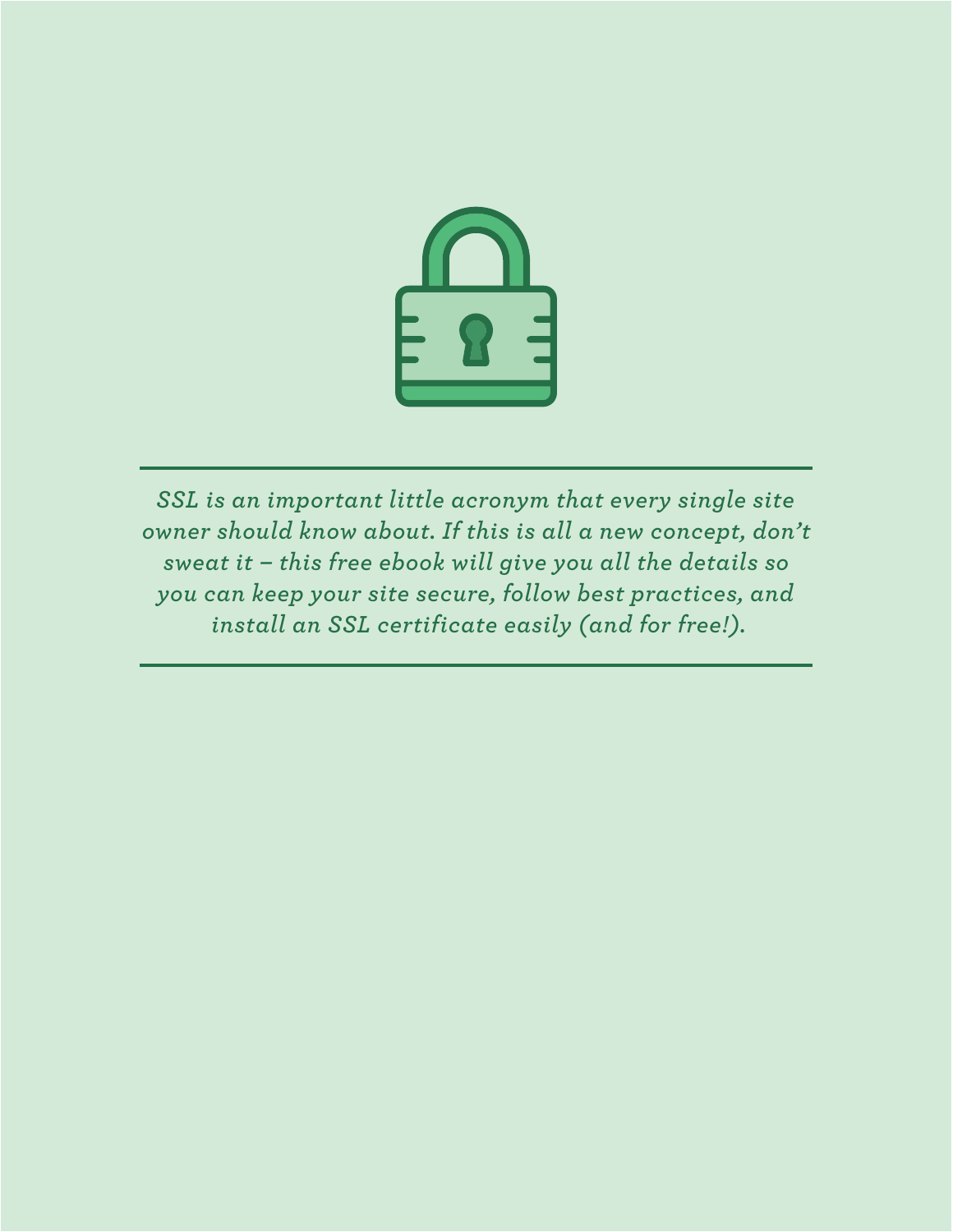

*SSL is an important little acronym that every single site owner should know about. If this is all a new concept, don't sweat it – this free ebook will give you all the details so you can keep your site secure, follow best practices, and install an SSL certificate easily (and for free!).*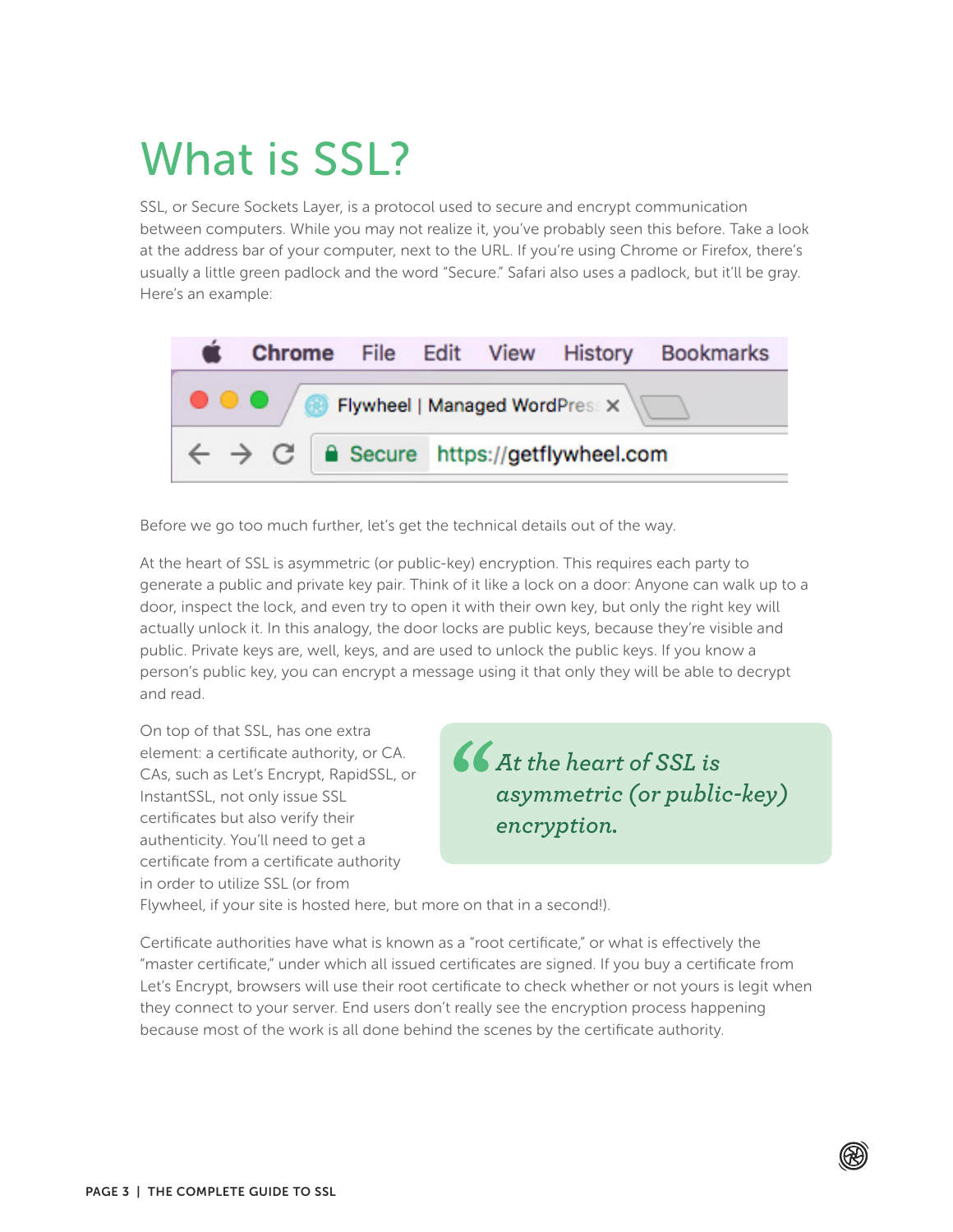# What is SSL?

SSL, or Secure Sockets Layer, is a protocol used to secure and encrypt communication between computers. While you may not realize it, you've probably seen this before. Take a look at the address bar of your computer, next to the URL. If you're using Chrome or Firefox, there's usually a little green padlock and the word "Secure." Safari also uses a padlock, but it'll be gray. Here's an example:



Before we go too much further, let's get the technical details out of the way.

At the heart of SSL is asymmetric (or public-key) encryption. This requires each party to generate a public and private key pair. Think of it like a lock on a door: Anyone can walk up to a door, inspect the lock, and even try to open it with their own key, but only the right key will actually unlock it. In this analogy, the door locks are public keys, because they're visible and public. Private keys are, well, keys, and are used to unlock the public keys. If you know a person's public key, you can encrypt a message using it that only they will be able to decrypt and read.

On top of that SSL, has one extra element: a certificate authority, or CA. CAs, such as Let's Encrypt, RapidSSL, or InstantSSL, not only issue SSL certificates but also verify their authenticity. You'll need to get a certificate from a certificate authority in order to utilize SSL (or from



Flywheel, if your site is hosted here, but more on that in a second!).

Certificate authorities have what is known as a "root certificate," or what is effectively the "master certificate," under which all issued certificates are signed. If you buy a certificate from Let's Encrypt, browsers will use their root certificate to check whether or not yours is legit when they connect to your server. End users don't really see the encryption process happening because most of the work is all done behind the scenes by the certificate authority.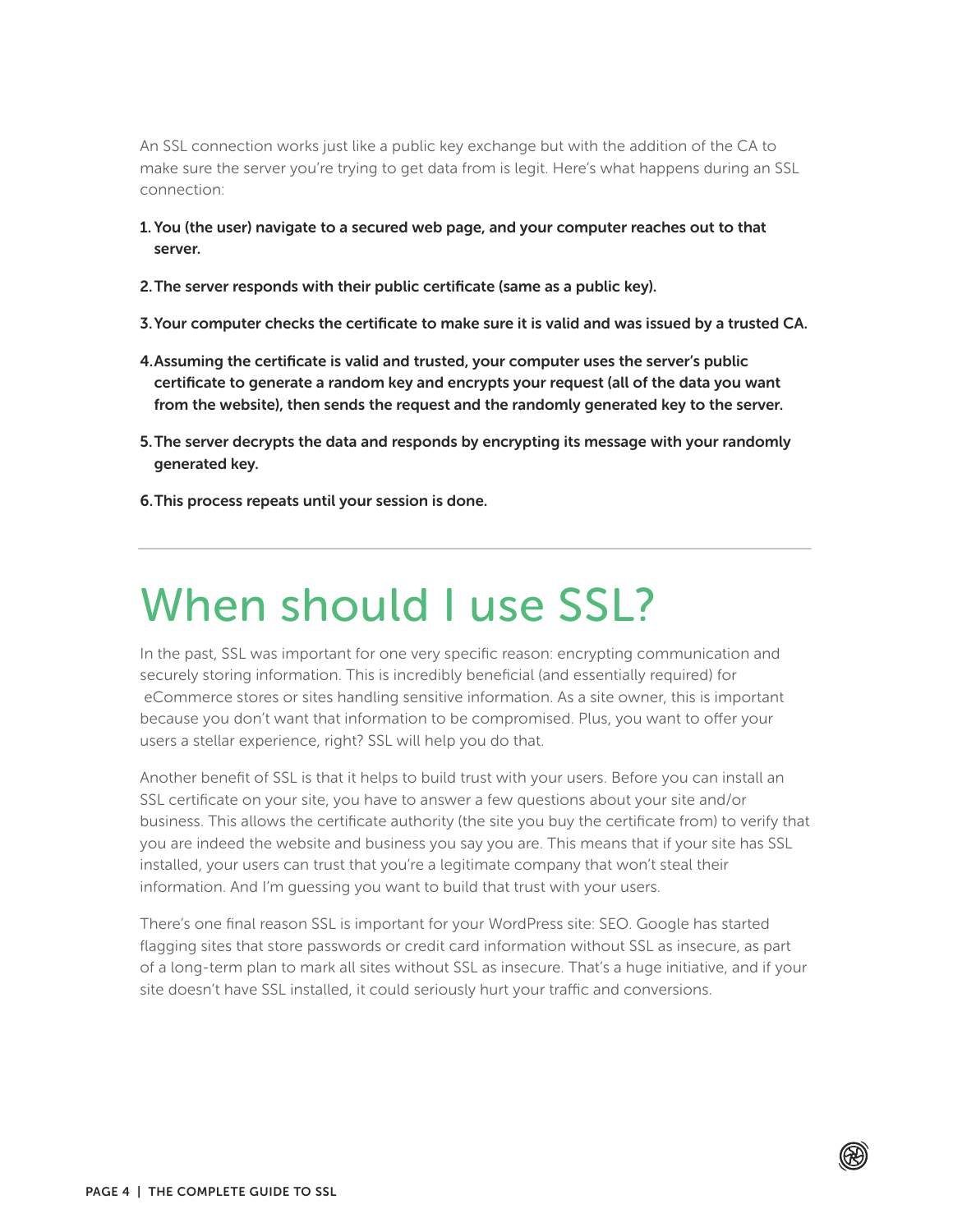An SSL connection works just like a public key exchange but with the addition of the CA to make sure the server you're trying to get data from is legit. Here's what happens during an SSL connection:

- 1. You (the user) navigate to a secured web page, and your computer reaches out to that server.
- 2.The server responds with their public certificate (same as a public key).
- 3.Your computer checks the certificate to make sure it is valid and was issued by a trusted CA.
- 4.Assuming the certificate is valid and trusted, your computer uses the server's public certificate to generate a random key and encrypts your request (all of the data you want from the website), then sends the request and the randomly generated key to the server.
- 5.The server decrypts the data and responds by encrypting its message with your randomly generated key.
- 6.This process repeats until your session is done.

# When should I use SSL?

In the past, SSL was important for one very specific reason: encrypting communication and securely storing information. This is incredibly beneficial (and essentially required) for eCommerce stores or sites handling sensitive information. As a site owner, this is important because you don't want that information to be compromised. Plus, you want to offer your users a stellar experience, right? SSL will help you do that.

Another benefit of SSL is that it helps to build trust with your users. Before you can install an SSL certificate on your site, you have to answer a few questions about your site and/or business. This allows the certificate authority (the site you buy the certificate from) to verify that you are indeed the website and business you say you are. This means that if your site has SSL installed, your users can trust that you're a legitimate company that won't steal their information. And I'm guessing you want to build that trust with your users.

There's one final reason SSL is important for your WordPress site: SEO. Google has started flagging sites that store passwords or credit card information without SSL as insecure, as part of a long-term plan to mark all sites without SSL as insecure. That's a huge initiative, and if your site doesn't have SSL installed, it could seriously hurt your traffic and conversions.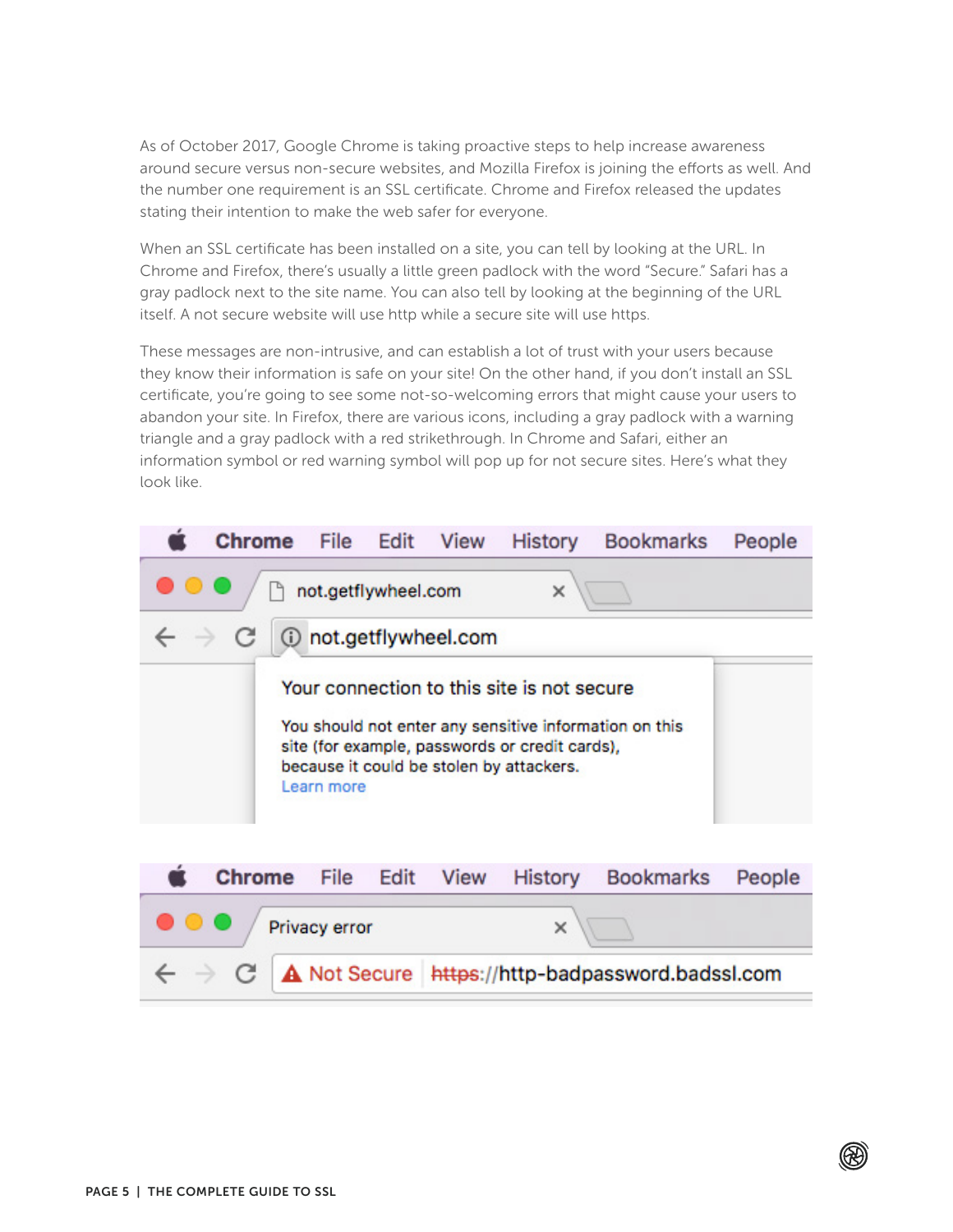As of October 2017, Google Chrome is taking proactive steps to help increase awareness around secure versus non-secure websites, and Mozilla Firefox is joining the efforts as well. And the number one requirement is an SSL certificate. Chrome and Firefox released the updates stating their intention to make the web safer for everyone.

When an SSL certificate has been installed on a site, you can tell by looking at the URL. In Chrome and Firefox, there's usually a little green padlock with the word "Secure." Safari has a gray padlock next to the site name. You can also tell by looking at the beginning of the URL itself. A not secure website will use http while a secure site will use https.

These messages are non-intrusive, and can establish a lot of trust with your users because they know their information is safe on your site! On the other hand, if you don't install an SSL certificate, you're going to see some not-so-welcoming errors that might cause your users to abandon your site. In Firefox, there are various icons, including a gray padlock with a warning triangle and a gray padlock with a red strikethrough. In Chrome and Safari, either an information symbol or red warning symbol will pop up for not secure sites. Here's what they look like.

|                                                                                                                                                                                                                  | Chrome                | File | Edit View | <b>History</b> | <b>Bookmarks</b> | People |
|------------------------------------------------------------------------------------------------------------------------------------------------------------------------------------------------------------------|-----------------------|------|-----------|----------------|------------------|--------|
| not.getflywheel.com<br>×                                                                                                                                                                                         |                       |      |           |                |                  |        |
| not.getflywheel.com<br>$\leftarrow$ $\rightarrow$<br>С                                                                                                                                                           |                       |      |           |                |                  |        |
| Your connection to this site is not secure<br>You should not enter any sensitive information on this<br>site (for example, passwords or credit cards),<br>because it could be stolen by attackers.<br>Learn more |                       |      |           |                |                  |        |
|                                                                                                                                                                                                                  |                       |      |           |                |                  |        |
|                                                                                                                                                                                                                  | <b>Chrome</b><br>File | Edit | View      | <b>History</b> | <b>Bookmarks</b> | People |
| $\times$<br>Privacy error                                                                                                                                                                                        |                       |      |           |                |                  |        |

A Not Secure | https://http-badpassword.badssl.com C.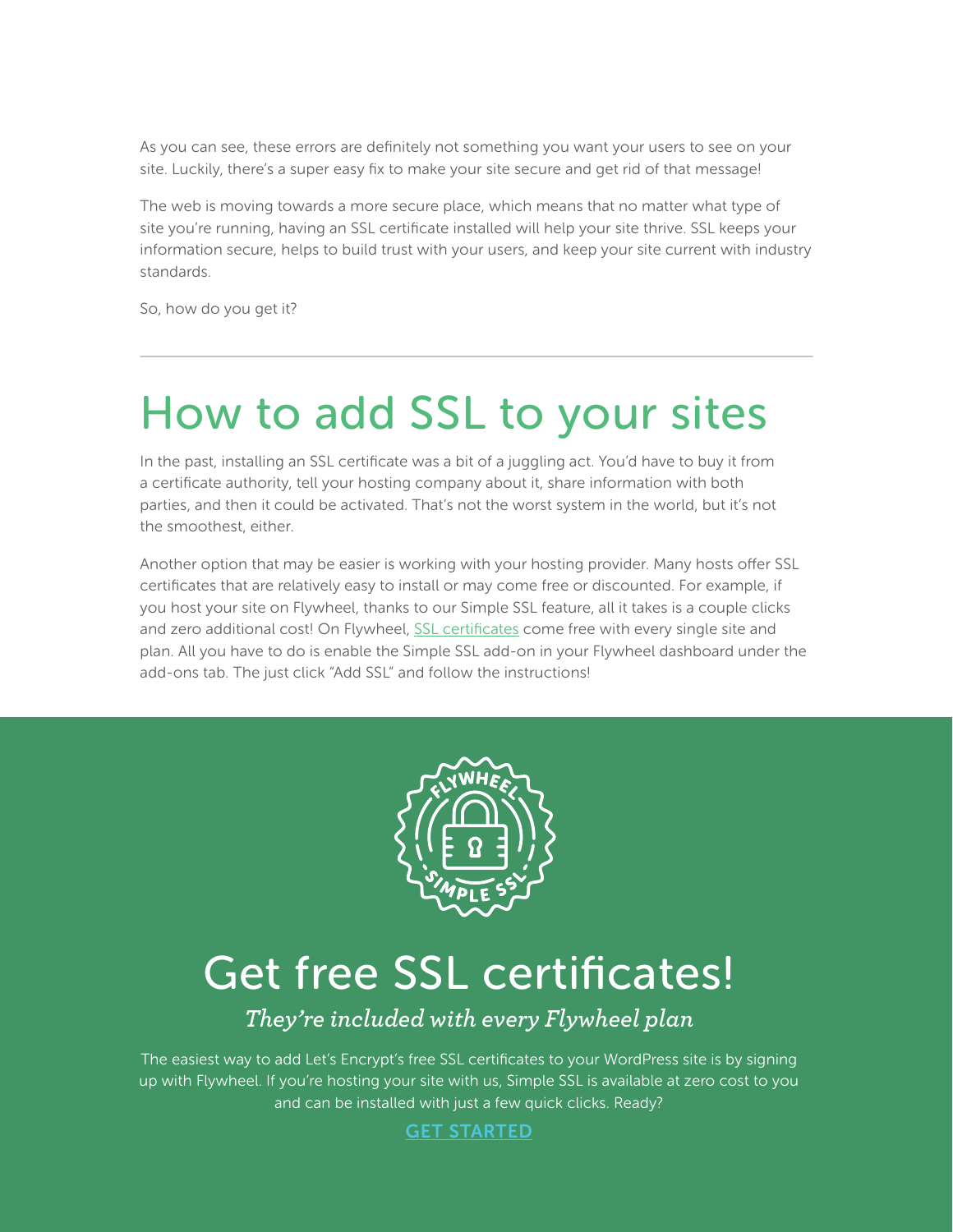As you can see, these errors are definitely not something you want your users to see on your site. Luckily, there's a super easy fix to make your site secure and get rid of that message!

The web is moving towards a more secure place, which means that no matter what type of site you're running, having an SSL certificate installed will help your site thrive. SSL keeps your information secure, helps to build trust with your users, and keep your site current with industry standards.

So, how do you get it?

# How to add SSL to your sites

In the past, installing an SSL certificate was a bit of a juggling act. You'd have to buy it from a certificate authority, tell your hosting company about it, share information with both parties, and then it could be activated. That's not the worst system in the world, but it's not the smoothest, either.

Another option that may be easier is working with your hosting provider. Many hosts offer SSL certificates that are relatively easy to install or may come free or discounted. For example, if you host your site on Flywheel, thanks to our Simple SSL feature, all it takes is a couple clicks and zero additional cost! On Flywheel, [SSL certificates](https://getf.ly/2uM9DZg) come free with every single site and plan. All you have to do is enable the Simple SSL add-on in your Flywheel dashboard under the add-ons tab. The just click "Add SSL" and follow the instructions!



## Get free SSL certificates!

### *They're included with every Flywheel plan*

The easiest way to add Let's Encrypt's free SSL certificates to your WordPress site is by signing up with Flywheel. If you're hosting your site with us, Simple SSL is available at zero cost to you and can be installed with just a few quick clicks. Ready?

[GET STARTED](https://getf.ly/2JKBAoZ)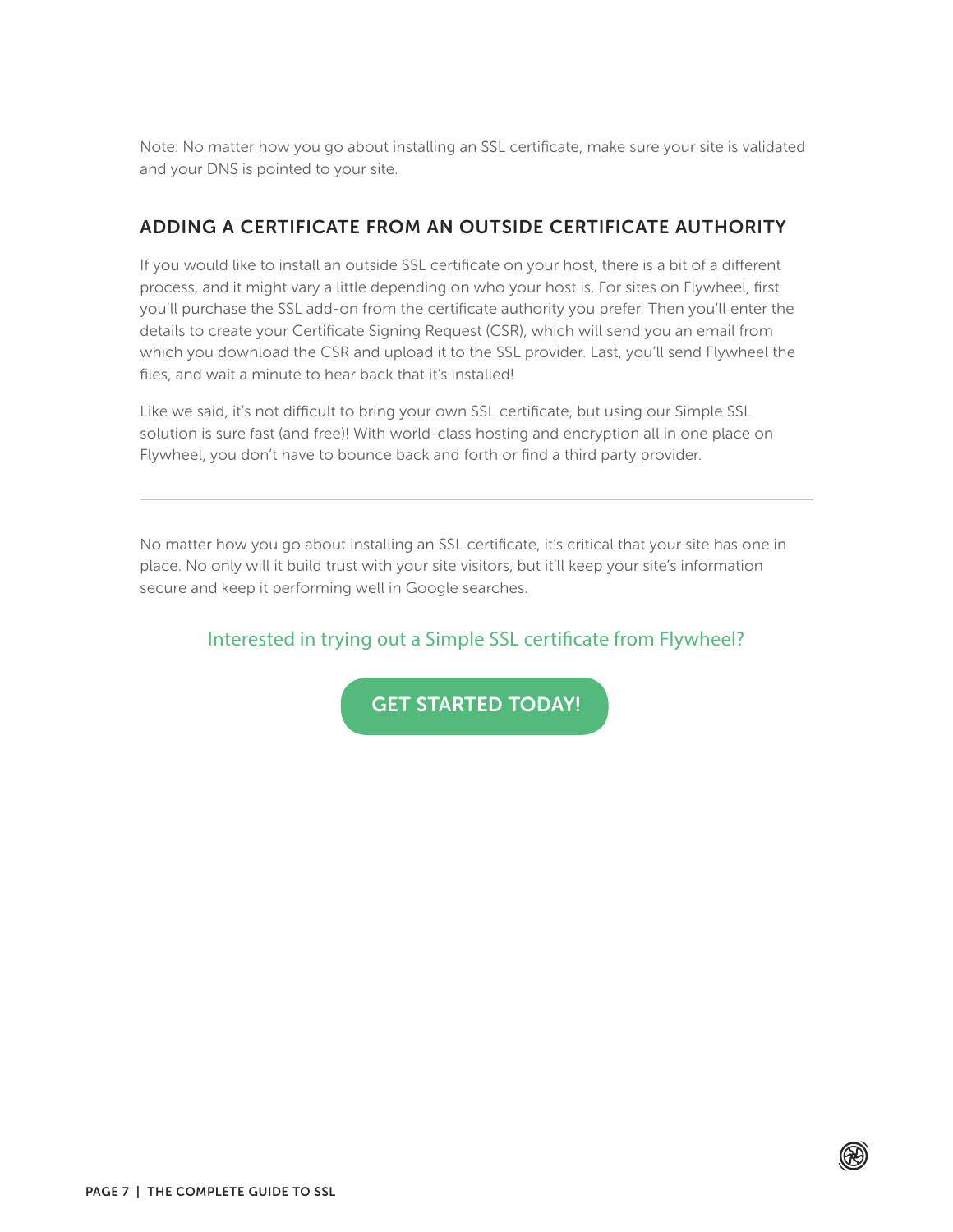Note: No matter how you go about installing an SSL certificate, make sure your site is validated and your DNS is pointed to your site.

#### ADDING A CERTIFICATE FROM AN OUTSIDE CERTIFICATE AUTHORITY

If you would like to install an outside SSL certificate on your host, there is a bit of a different process, and it might vary a little depending on who your host is. For sites on Flywheel, first you'll purchase the SSL add-on from the certificate authority you prefer. Then you'll enter the details to create your Certificate Signing Request (CSR), which will send you an email from which you download the CSR and upload it to the SSL provider. Last, you'll send Flywheel the files, and wait a minute to hear back that it's installed!

Like we said, it's not difficult to bring your own SSL certificate, but using our Simple SSL solution is sure fast (and free)! With world-class hosting and encryption all in one place on Flywheel, you don't have to bounce back and forth or find a third party provider.

No matter how you go about installing an SSL certificate, it's critical that your site has one in place. No only will it build trust with your site visitors, but it'll keep your site's information secure and keep it performing well in Google searches.

Interested in trying out a Simple SSL certificate from Flywheel?

[GET STARTED TODAY!](https://getf.ly/2JKBAoZ)